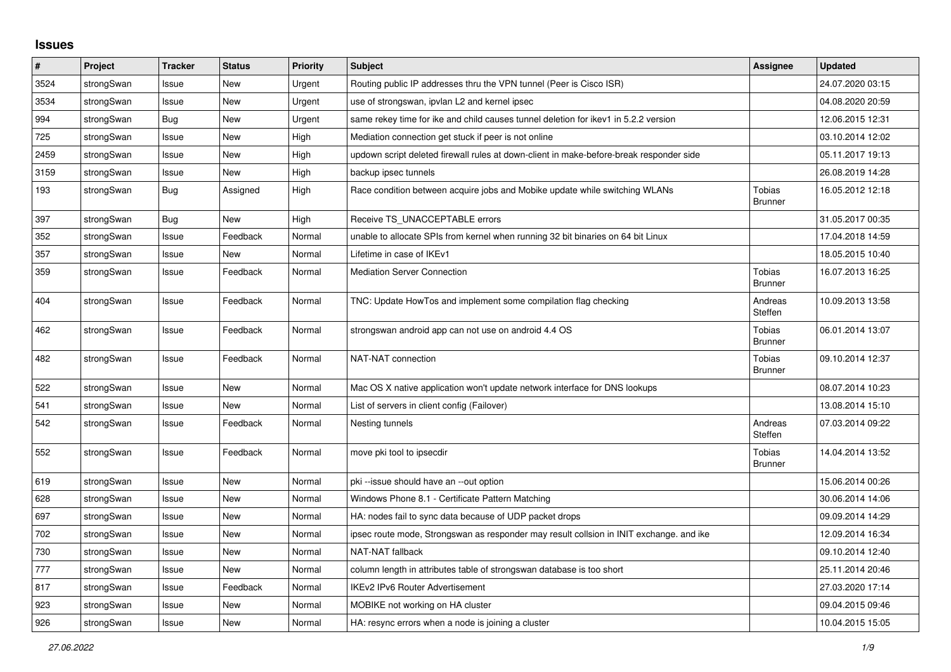## **Issues**

| #    | Project    | <b>Tracker</b> | <b>Status</b> | Priority | Subject                                                                                 | <b>Assignee</b>                 | <b>Updated</b>   |
|------|------------|----------------|---------------|----------|-----------------------------------------------------------------------------------------|---------------------------------|------------------|
| 3524 | strongSwan | Issue          | <b>New</b>    | Urgent   | Routing public IP addresses thru the VPN tunnel (Peer is Cisco ISR)                     |                                 | 24.07.2020 03:15 |
| 3534 | strongSwan | Issue          | <b>New</b>    | Urgent   | use of strongswan, ipvlan L2 and kernel ipsec                                           |                                 | 04.08.2020 20:59 |
| 994  | strongSwan | Bug            | <b>New</b>    | Urgent   | same rekey time for ike and child causes tunnel deletion for ikev1 in 5.2.2 version     |                                 | 12.06.2015 12:31 |
| 725  | strongSwan | Issue          | New           | High     | Mediation connection get stuck if peer is not online                                    |                                 | 03.10.2014 12:02 |
| 2459 | strongSwan | Issue          | <b>New</b>    | High     | updown script deleted firewall rules at down-client in make-before-break responder side |                                 | 05.11.2017 19:13 |
| 3159 | strongSwan | Issue          | New           | High     | backup ipsec tunnels                                                                    |                                 | 26.08.2019 14:28 |
| 193  | strongSwan | Bug            | Assigned      | High     | Race condition between acquire jobs and Mobike update while switching WLANs             | <b>Tobias</b><br><b>Brunner</b> | 16.05.2012 12:18 |
| 397  | strongSwan | Bug            | New           | High     | Receive TS_UNACCEPTABLE errors                                                          |                                 | 31.05.2017 00:35 |
| 352  | strongSwan | Issue          | Feedback      | Normal   | unable to allocate SPIs from kernel when running 32 bit binaries on 64 bit Linux        |                                 | 17.04.2018 14:59 |
| 357  | strongSwan | Issue          | New           | Normal   | Lifetime in case of IKEv1                                                               |                                 | 18.05.2015 10:40 |
| 359  | strongSwan | Issue          | Feedback      | Normal   | <b>Mediation Server Connection</b>                                                      | Tobias<br><b>Brunner</b>        | 16.07.2013 16:25 |
| 404  | strongSwan | Issue          | Feedback      | Normal   | TNC: Update HowTos and implement some compilation flag checking                         | Andreas<br>Steffen              | 10.09.2013 13:58 |
| 462  | strongSwan | Issue          | Feedback      | Normal   | strongswan android app can not use on android 4.4 OS                                    | Tobias<br><b>Brunner</b>        | 06.01.2014 13:07 |
| 482  | strongSwan | Issue          | Feedback      | Normal   | NAT-NAT connection                                                                      | Tobias<br><b>Brunner</b>        | 09.10.2014 12:37 |
| 522  | strongSwan | Issue          | <b>New</b>    | Normal   | Mac OS X native application won't update network interface for DNS lookups              |                                 | 08.07.2014 10:23 |
| 541  | strongSwan | Issue          | <b>New</b>    | Normal   | List of servers in client config (Failover)                                             |                                 | 13.08.2014 15:10 |
| 542  | strongSwan | Issue          | Feedback      | Normal   | Nesting tunnels                                                                         | Andreas<br>Steffen              | 07.03.2014 09:22 |
| 552  | strongSwan | Issue          | Feedback      | Normal   | move pki tool to ipsecdir                                                               | <b>Tobias</b><br><b>Brunner</b> | 14.04.2014 13:52 |
| 619  | strongSwan | Issue          | New           | Normal   | pki-issue should have an --out option                                                   |                                 | 15.06.2014 00:26 |
| 628  | strongSwan | Issue          | <b>New</b>    | Normal   | Windows Phone 8.1 - Certificate Pattern Matching                                        |                                 | 30.06.2014 14:06 |
| 697  | strongSwan | Issue          | New           | Normal   | HA: nodes fail to sync data because of UDP packet drops                                 |                                 | 09.09.2014 14:29 |
| 702  | strongSwan | Issue          | <b>New</b>    | Normal   | ipsec route mode, Strongswan as responder may result collsion in INIT exchange. and ike |                                 | 12.09.2014 16:34 |
| 730  | strongSwan | Issue          | <b>New</b>    | Normal   | NAT-NAT fallback                                                                        |                                 | 09.10.2014 12:40 |
| 777  | strongSwan | Issue          | New           | Normal   | column length in attributes table of strongswan database is too short                   |                                 | 25.11.2014 20:46 |
| 817  | strongSwan | Issue          | Feedback      | Normal   | <b>IKEv2 IPv6 Router Advertisement</b>                                                  |                                 | 27.03.2020 17:14 |
| 923  | strongSwan | Issue          | New           | Normal   | MOBIKE not working on HA cluster                                                        |                                 | 09.04.2015 09:46 |
| 926  | strongSwan | Issue          | New           | Normal   | HA: resync errors when a node is joining a cluster                                      |                                 | 10.04.2015 15:05 |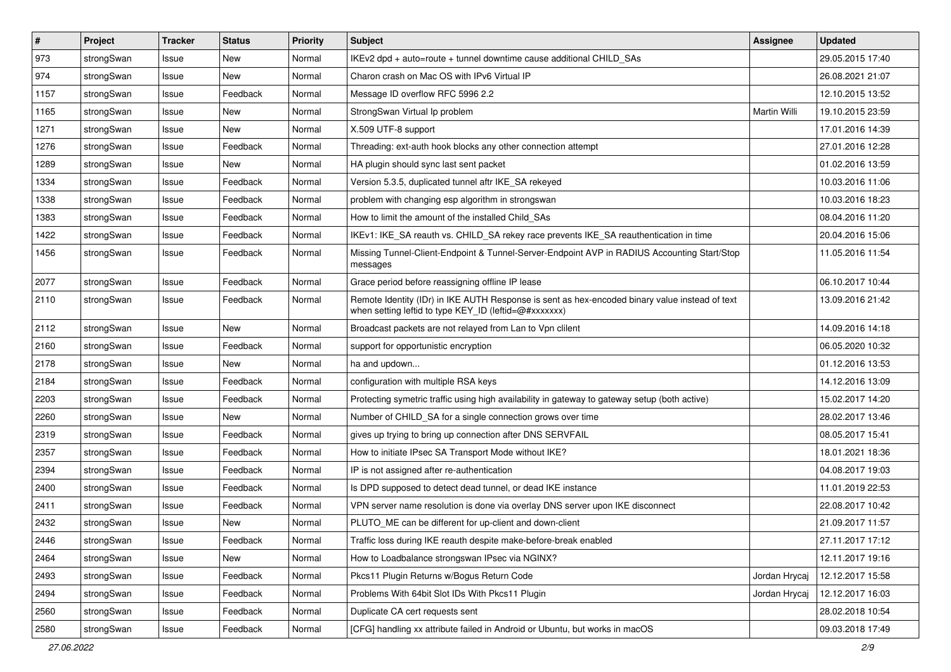| $\sharp$ | Project    | <b>Tracker</b> | <b>Status</b> | <b>Priority</b> | <b>Subject</b>                                                                                                                                          | Assignee      | <b>Updated</b>   |
|----------|------------|----------------|---------------|-----------------|---------------------------------------------------------------------------------------------------------------------------------------------------------|---------------|------------------|
| 973      | strongSwan | Issue          | New           | Normal          | IKEv2 dpd + auto=route + tunnel downtime cause additional CHILD_SAs                                                                                     |               | 29.05.2015 17:40 |
| 974      | strongSwan | Issue          | <b>New</b>    | Normal          | Charon crash on Mac OS with IPv6 Virtual IP                                                                                                             |               | 26.08.2021 21:07 |
| 1157     | strongSwan | Issue          | Feedback      | Normal          | Message ID overflow RFC 5996 2.2                                                                                                                        |               | 12.10.2015 13:52 |
| 1165     | strongSwan | Issue          | New           | Normal          | StrongSwan Virtual Ip problem                                                                                                                           | Martin Willi  | 19.10.2015 23:59 |
| 1271     | strongSwan | Issue          | <b>New</b>    | Normal          | X.509 UTF-8 support                                                                                                                                     |               | 17.01.2016 14:39 |
| 1276     | strongSwan | Issue          | Feedback      | Normal          | Threading: ext-auth hook blocks any other connection attempt                                                                                            |               | 27.01.2016 12:28 |
| 1289     | strongSwan | Issue          | New           | Normal          | HA plugin should sync last sent packet                                                                                                                  |               | 01.02.2016 13:59 |
| 1334     | strongSwan | Issue          | Feedback      | Normal          | Version 5.3.5, duplicated tunnel aftr IKE SA rekeyed                                                                                                    |               | 10.03.2016 11:06 |
| 1338     | strongSwan | Issue          | Feedback      | Normal          | problem with changing esp algorithm in strongswan                                                                                                       |               | 10.03.2016 18:23 |
| 1383     | strongSwan | Issue          | Feedback      | Normal          | How to limit the amount of the installed Child_SAs                                                                                                      |               | 08.04.2016 11:20 |
| 1422     | strongSwan | Issue          | Feedback      | Normal          | IKEv1: IKE_SA reauth vs. CHILD_SA rekey race prevents IKE_SA reauthentication in time                                                                   |               | 20.04.2016 15:06 |
| 1456     | strongSwan | Issue          | Feedback      | Normal          | Missing Tunnel-Client-Endpoint & Tunnel-Server-Endpoint AVP in RADIUS Accounting Start/Stop<br>messages                                                 |               | 11.05.2016 11:54 |
| 2077     | strongSwan | Issue          | Feedback      | Normal          | Grace period before reassigning offline IP lease                                                                                                        |               | 06.10.2017 10:44 |
| 2110     | strongSwan | Issue          | Feedback      | Normal          | Remote Identity (IDr) in IKE AUTH Response is sent as hex-encoded binary value instead of text<br>when setting leftid to type KEY_ID (leftid=@#xxxxxxx) |               | 13.09.2016 21:42 |
| 2112     | strongSwan | Issue          | <b>New</b>    | Normal          | Broadcast packets are not relayed from Lan to Vpn clilent                                                                                               |               | 14.09.2016 14:18 |
| 2160     | strongSwan | Issue          | Feedback      | Normal          | support for opportunistic encryption                                                                                                                    |               | 06.05.2020 10:32 |
| 2178     | strongSwan | Issue          | New           | Normal          | ha and updown                                                                                                                                           |               | 01.12.2016 13:53 |
| 2184     | strongSwan | Issue          | Feedback      | Normal          | configuration with multiple RSA keys                                                                                                                    |               | 14.12.2016 13:09 |
| 2203     | strongSwan | Issue          | Feedback      | Normal          | Protecting symetric traffic using high availability in gateway to gateway setup (both active)                                                           |               | 15.02.2017 14:20 |
| 2260     | strongSwan | Issue          | New           | Normal          | Number of CHILD_SA for a single connection grows over time                                                                                              |               | 28.02.2017 13:46 |
| 2319     | strongSwan | Issue          | Feedback      | Normal          | gives up trying to bring up connection after DNS SERVFAIL                                                                                               |               | 08.05.2017 15:41 |
| 2357     | strongSwan | Issue          | Feedback      | Normal          | How to initiate IPsec SA Transport Mode without IKE?                                                                                                    |               | 18.01.2021 18:36 |
| 2394     | strongSwan | Issue          | Feedback      | Normal          | IP is not assigned after re-authentication                                                                                                              |               | 04.08.2017 19:03 |
| 2400     | strongSwan | Issue          | Feedback      | Normal          | Is DPD supposed to detect dead tunnel, or dead IKE instance                                                                                             |               | 11.01.2019 22:53 |
| 2411     | strongSwan | Issue          | Feedback      | Normal          | VPN server name resolution is done via overlay DNS server upon IKE disconnect                                                                           |               | 22.08.2017 10:42 |
| 2432     | strongSwan | Issue          | New           | Normal          | PLUTO_ME can be different for up-client and down-client                                                                                                 |               | 21.09.2017 11:57 |
| 2446     | strongSwan | Issue          | Feedback      | Normal          | Traffic loss during IKE reauth despite make-before-break enabled                                                                                        |               | 27.11.2017 17:12 |
| 2464     | strongSwan | Issue          | New           | Normal          | How to Loadbalance strongswan IPsec via NGINX?                                                                                                          |               | 12.11.2017 19:16 |
| 2493     | strongSwan | Issue          | Feedback      | Normal          | Pkcs11 Plugin Returns w/Bogus Return Code                                                                                                               | Jordan Hrycaj | 12.12.2017 15:58 |
| 2494     | strongSwan | Issue          | Feedback      | Normal          | Problems With 64bit Slot IDs With Pkcs11 Plugin                                                                                                         | Jordan Hrycaj | 12.12.2017 16:03 |
| 2560     | strongSwan | Issue          | Feedback      | Normal          | Duplicate CA cert requests sent                                                                                                                         |               | 28.02.2018 10:54 |
| 2580     | strongSwan | Issue          | Feedback      | Normal          | [CFG] handling xx attribute failed in Android or Ubuntu, but works in macOS                                                                             |               | 09.03.2018 17:49 |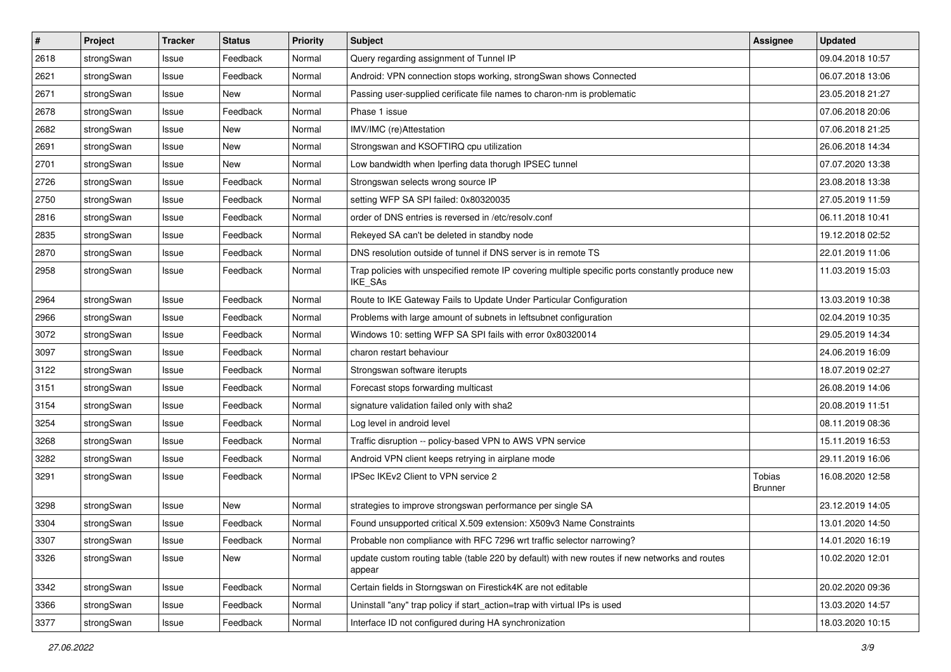| $\sharp$ | Project    | <b>Tracker</b> | <b>Status</b> | <b>Priority</b> | <b>Subject</b>                                                                                                     | <b>Assignee</b>          | <b>Updated</b>   |
|----------|------------|----------------|---------------|-----------------|--------------------------------------------------------------------------------------------------------------------|--------------------------|------------------|
| 2618     | strongSwan | Issue          | Feedback      | Normal          | Query regarding assignment of Tunnel IP                                                                            |                          | 09.04.2018 10:57 |
| 2621     | strongSwan | Issue          | Feedback      | Normal          | Android: VPN connection stops working, strongSwan shows Connected                                                  |                          | 06.07.2018 13:06 |
| 2671     | strongSwan | Issue          | <b>New</b>    | Normal          | Passing user-supplied cerificate file names to charon-nm is problematic                                            |                          | 23.05.2018 21:27 |
| 2678     | strongSwan | Issue          | Feedback      | Normal          | Phase 1 issue                                                                                                      |                          | 07.06.2018 20:06 |
| 2682     | strongSwan | Issue          | New           | Normal          | IMV/IMC (re)Attestation                                                                                            |                          | 07.06.2018 21:25 |
| 2691     | strongSwan | Issue          | New           | Normal          | Strongswan and KSOFTIRQ cpu utilization                                                                            |                          | 26.06.2018 14:34 |
| 2701     | strongSwan | Issue          | <b>New</b>    | Normal          | Low bandwidth when Iperfing data thorugh IPSEC tunnel                                                              |                          | 07.07.2020 13:38 |
| 2726     | strongSwan | Issue          | Feedback      | Normal          | Strongswan selects wrong source IP                                                                                 |                          | 23.08.2018 13:38 |
| 2750     | strongSwan | Issue          | Feedback      | Normal          | setting WFP SA SPI failed: 0x80320035                                                                              |                          | 27.05.2019 11:59 |
| 2816     | strongSwan | Issue          | Feedback      | Normal          | order of DNS entries is reversed in /etc/resolv.conf                                                               |                          | 06.11.2018 10:41 |
| 2835     | strongSwan | Issue          | Feedback      | Normal          | Rekeyed SA can't be deleted in standby node                                                                        |                          | 19.12.2018 02:52 |
| 2870     | strongSwan | Issue          | Feedback      | Normal          | DNS resolution outside of tunnel if DNS server is in remote TS                                                     |                          | 22.01.2019 11:06 |
| 2958     | strongSwan | Issue          | Feedback      | Normal          | Trap policies with unspecified remote IP covering multiple specific ports constantly produce new<br><b>IKE SAs</b> |                          | 11.03.2019 15:03 |
| 2964     | strongSwan | Issue          | Feedback      | Normal          | Route to IKE Gateway Fails to Update Under Particular Configuration                                                |                          | 13.03.2019 10:38 |
| 2966     | strongSwan | Issue          | Feedback      | Normal          | Problems with large amount of subnets in leftsubnet configuration                                                  |                          | 02.04.2019 10:35 |
| 3072     | strongSwan | Issue          | Feedback      | Normal          | Windows 10: setting WFP SA SPI fails with error 0x80320014                                                         |                          | 29.05.2019 14:34 |
| 3097     | strongSwan | Issue          | Feedback      | Normal          | charon restart behaviour                                                                                           |                          | 24.06.2019 16:09 |
| 3122     | strongSwan | Issue          | Feedback      | Normal          | Strongswan software iterupts                                                                                       |                          | 18.07.2019 02:27 |
| 3151     | strongSwan | Issue          | Feedback      | Normal          | Forecast stops forwarding multicast                                                                                |                          | 26.08.2019 14:06 |
| 3154     | strongSwan | Issue          | Feedback      | Normal          | signature validation failed only with sha2                                                                         |                          | 20.08.2019 11:51 |
| 3254     | strongSwan | Issue          | Feedback      | Normal          | Log level in android level                                                                                         |                          | 08.11.2019 08:36 |
| 3268     | strongSwan | Issue          | Feedback      | Normal          | Traffic disruption -- policy-based VPN to AWS VPN service                                                          |                          | 15.11.2019 16:53 |
| 3282     | strongSwan | Issue          | Feedback      | Normal          | Android VPN client keeps retrying in airplane mode                                                                 |                          | 29.11.2019 16:06 |
| 3291     | strongSwan | Issue          | Feedback      | Normal          | IPSec IKEv2 Client to VPN service 2                                                                                | Tobias<br><b>Brunner</b> | 16.08.2020 12:58 |
| 3298     | strongSwan | Issue          | <b>New</b>    | Normal          | strategies to improve strongswan performance per single SA                                                         |                          | 23.12.2019 14:05 |
| 3304     | strongSwan | Issue          | Feedback      | Normal          | Found unsupported critical X.509 extension: X509v3 Name Constraints                                                |                          | 13.01.2020 14:50 |
| 3307     | strongSwan | Issue          | Feedback      | Normal          | Probable non compliance with RFC 7296 wrt traffic selector narrowing?                                              |                          | 14.01.2020 16:19 |
| 3326     | strongSwan | Issue          | New           | Normal          | update custom routing table (table 220 by default) with new routes if new networks and routes<br>appear            |                          | 10.02.2020 12:01 |
| 3342     | strongSwan | Issue          | Feedback      | Normal          | Certain fields in Storngswan on Firestick4K are not editable                                                       |                          | 20.02.2020 09:36 |
| 3366     | strongSwan | Issue          | Feedback      | Normal          | Uninstall "any" trap policy if start action=trap with virtual IPs is used                                          |                          | 13.03.2020 14:57 |
| 3377     | strongSwan | Issue          | Feedback      | Normal          | Interface ID not configured during HA synchronization                                                              |                          | 18.03.2020 10:15 |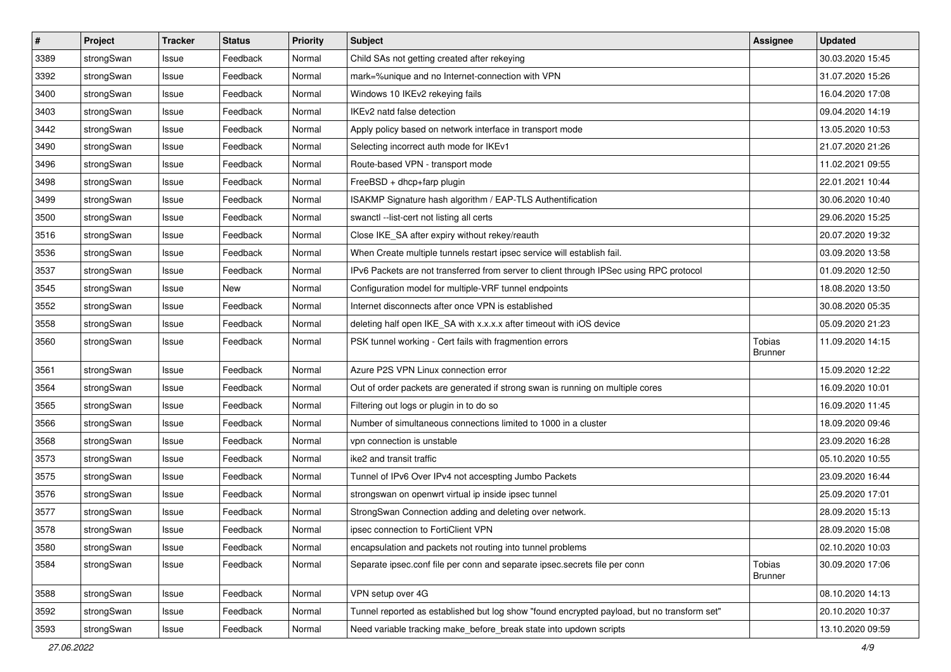| $\pmb{\#}$ | Project    | <b>Tracker</b> | <b>Status</b> | <b>Priority</b> | <b>Subject</b>                                                                              | Assignee                 | <b>Updated</b>   |
|------------|------------|----------------|---------------|-----------------|---------------------------------------------------------------------------------------------|--------------------------|------------------|
| 3389       | strongSwan | Issue          | Feedback      | Normal          | Child SAs not getting created after rekeying                                                |                          | 30.03.2020 15:45 |
| 3392       | strongSwan | Issue          | Feedback      | Normal          | mark=%unique and no Internet-connection with VPN                                            |                          | 31.07.2020 15:26 |
| 3400       | strongSwan | Issue          | Feedback      | Normal          | Windows 10 IKEv2 rekeying fails                                                             |                          | 16.04.2020 17:08 |
| 3403       | strongSwan | Issue          | Feedback      | Normal          | IKEv2 natd false detection                                                                  |                          | 09.04.2020 14:19 |
| 3442       | strongSwan | Issue          | Feedback      | Normal          | Apply policy based on network interface in transport mode                                   |                          | 13.05.2020 10:53 |
| 3490       | strongSwan | Issue          | Feedback      | Normal          | Selecting incorrect auth mode for IKEv1                                                     |                          | 21.07.2020 21:26 |
| 3496       | strongSwan | Issue          | Feedback      | Normal          | Route-based VPN - transport mode                                                            |                          | 11.02.2021 09:55 |
| 3498       | strongSwan | Issue          | Feedback      | Normal          | FreeBSD + dhcp+farp plugin                                                                  |                          | 22.01.2021 10:44 |
| 3499       | strongSwan | Issue          | Feedback      | Normal          | ISAKMP Signature hash algorithm / EAP-TLS Authentification                                  |                          | 30.06.2020 10:40 |
| 3500       | strongSwan | Issue          | Feedback      | Normal          | swanctl --list-cert not listing all certs                                                   |                          | 29.06.2020 15:25 |
| 3516       | strongSwan | Issue          | Feedback      | Normal          | Close IKE_SA after expiry without rekey/reauth                                              |                          | 20.07.2020 19:32 |
| 3536       | strongSwan | Issue          | Feedback      | Normal          | When Create multiple tunnels restart ipsec service will establish fail.                     |                          | 03.09.2020 13:58 |
| 3537       | strongSwan | Issue          | Feedback      | Normal          | IPv6 Packets are not transferred from server to client through IPSec using RPC protocol     |                          | 01.09.2020 12:50 |
| 3545       | strongSwan | lssue          | <b>New</b>    | Normal          | Configuration model for multiple-VRF tunnel endpoints                                       |                          | 18.08.2020 13:50 |
| 3552       | strongSwan | Issue          | Feedback      | Normal          | Internet disconnects after once VPN is established                                          |                          | 30.08.2020 05:35 |
| 3558       | strongSwan | Issue          | Feedback      | Normal          | deleting half open IKE_SA with x.x.x.x after timeout with iOS device                        |                          | 05.09.2020 21:23 |
| 3560       | strongSwan | Issue          | Feedback      | Normal          | PSK tunnel working - Cert fails with fragmention errors                                     | Tobias<br><b>Brunner</b> | 11.09.2020 14:15 |
| 3561       | strongSwan | Issue          | Feedback      | Normal          | Azure P2S VPN Linux connection error                                                        |                          | 15.09.2020 12:22 |
| 3564       | strongSwan | Issue          | Feedback      | Normal          | Out of order packets are generated if strong swan is running on multiple cores              |                          | 16.09.2020 10:01 |
| 3565       | strongSwan | Issue          | Feedback      | Normal          | Filtering out logs or plugin in to do so                                                    |                          | 16.09.2020 11:45 |
| 3566       | strongSwan | lssue          | Feedback      | Normal          | Number of simultaneous connections limited to 1000 in a cluster                             |                          | 18.09.2020 09:46 |
| 3568       | strongSwan | Issue          | Feedback      | Normal          | vpn connection is unstable                                                                  |                          | 23.09.2020 16:28 |
| 3573       | strongSwan | Issue          | Feedback      | Normal          | ike2 and transit traffic                                                                    |                          | 05.10.2020 10:55 |
| 3575       | strongSwan | Issue          | Feedback      | Normal          | Tunnel of IPv6 Over IPv4 not accespting Jumbo Packets                                       |                          | 23.09.2020 16:44 |
| 3576       | strongSwan | Issue          | Feedback      | Normal          | strongswan on openwrt virtual ip inside ipsec tunnel                                        |                          | 25.09.2020 17:01 |
| 3577       | strongSwan | Issue          | Feedback      | Normal          | StrongSwan Connection adding and deleting over network.                                     |                          | 28.09.2020 15:13 |
| 3578       | strongSwan | Issue          | Feedback      | Normal          | ipsec connection to FortiClient VPN                                                         |                          | 28.09.2020 15:08 |
| 3580       | strongSwan | Issue          | Feedback      | Normal          | encapsulation and packets not routing into tunnel problems                                  |                          | 02.10.2020 10:03 |
| 3584       | strongSwan | Issue          | Feedback      | Normal          | Separate ipsec.conf file per conn and separate ipsec.secrets file per conn                  | Tobias<br><b>Brunner</b> | 30.09.2020 17:06 |
| 3588       | strongSwan | Issue          | Feedback      | Normal          | VPN setup over 4G                                                                           |                          | 08.10.2020 14:13 |
| 3592       | strongSwan | Issue          | Feedback      | Normal          | Tunnel reported as established but log show "found encrypted payload, but no transform set" |                          | 20.10.2020 10:37 |
| 3593       | strongSwan | Issue          | Feedback      | Normal          | Need variable tracking make_before_break state into updown scripts                          |                          | 13.10.2020 09:59 |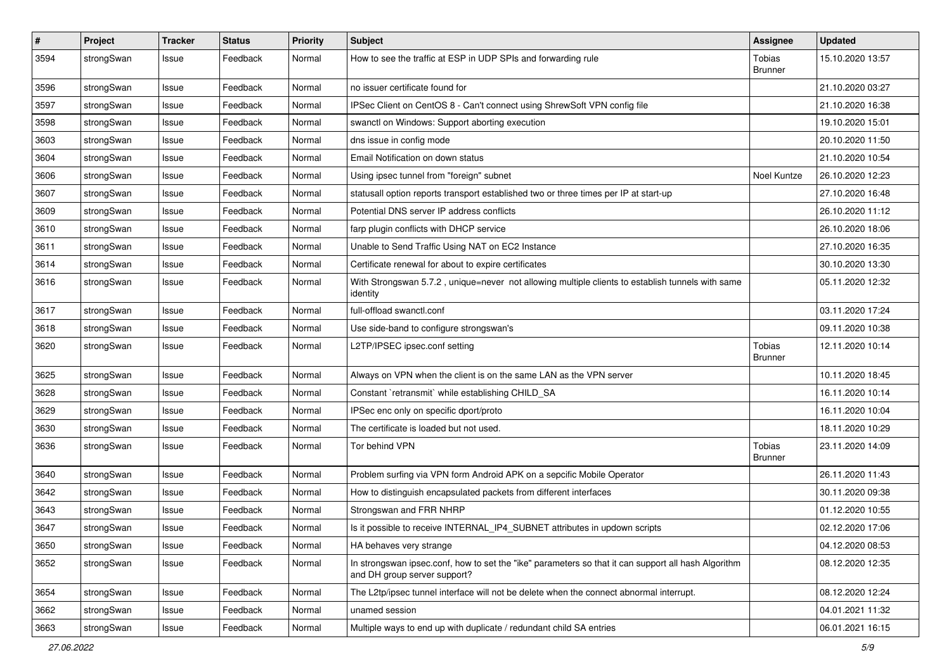| $\pmb{\#}$ | Project    | <b>Tracker</b> | <b>Status</b> | <b>Priority</b> | <b>Subject</b>                                                                                                                      | <b>Assignee</b>                 | <b>Updated</b>   |
|------------|------------|----------------|---------------|-----------------|-------------------------------------------------------------------------------------------------------------------------------------|---------------------------------|------------------|
| 3594       | strongSwan | Issue          | Feedback      | Normal          | How to see the traffic at ESP in UDP SPIs and forwarding rule                                                                       | Tobias<br><b>Brunner</b>        | 15.10.2020 13:57 |
| 3596       | strongSwan | Issue          | Feedback      | Normal          | no issuer certificate found for                                                                                                     |                                 | 21.10.2020 03:27 |
| 3597       | strongSwan | Issue          | Feedback      | Normal          | IPSec Client on CentOS 8 - Can't connect using ShrewSoft VPN config file                                                            |                                 | 21.10.2020 16:38 |
| 3598       | strongSwan | Issue          | Feedback      | Normal          | swanctl on Windows: Support aborting execution                                                                                      |                                 | 19.10.2020 15:01 |
| 3603       | strongSwan | Issue          | Feedback      | Normal          | dns issue in config mode                                                                                                            |                                 | 20.10.2020 11:50 |
| 3604       | strongSwan | Issue          | Feedback      | Normal          | Email Notification on down status                                                                                                   |                                 | 21.10.2020 10:54 |
| 3606       | strongSwan | Issue          | Feedback      | Normal          | Using ipsec tunnel from "foreign" subnet                                                                                            | Noel Kuntze                     | 26.10.2020 12:23 |
| 3607       | strongSwan | Issue          | Feedback      | Normal          | statusall option reports transport established two or three times per IP at start-up                                                |                                 | 27.10.2020 16:48 |
| 3609       | strongSwan | Issue          | Feedback      | Normal          | Potential DNS server IP address conflicts                                                                                           |                                 | 26.10.2020 11:12 |
| 3610       | strongSwan | Issue          | Feedback      | Normal          | farp plugin conflicts with DHCP service                                                                                             |                                 | 26.10.2020 18:06 |
| 3611       | strongSwan | Issue          | Feedback      | Normal          | Unable to Send Traffic Using NAT on EC2 Instance                                                                                    |                                 | 27.10.2020 16:35 |
| 3614       | strongSwan | Issue          | Feedback      | Normal          | Certificate renewal for about to expire certificates                                                                                |                                 | 30.10.2020 13:30 |
| 3616       | strongSwan | Issue          | Feedback      | Normal          | With Strongswan 5.7.2, unique=never not allowing multiple clients to establish tunnels with same<br>identity                        |                                 | 05.11.2020 12:32 |
| 3617       | strongSwan | Issue          | Feedback      | Normal          | full-offload swanctl.conf                                                                                                           |                                 | 03.11.2020 17:24 |
| 3618       | strongSwan | Issue          | Feedback      | Normal          | Use side-band to configure strongswan's                                                                                             |                                 | 09.11.2020 10:38 |
| 3620       | strongSwan | Issue          | Feedback      | Normal          | L2TP/IPSEC ipsec.conf setting                                                                                                       | Tobias<br>Brunner               | 12.11.2020 10:14 |
| 3625       | strongSwan | Issue          | Feedback      | Normal          | Always on VPN when the client is on the same LAN as the VPN server                                                                  |                                 | 10.11.2020 18:45 |
| 3628       | strongSwan | Issue          | Feedback      | Normal          | Constant `retransmit` while establishing CHILD_SA                                                                                   |                                 | 16.11.2020 10:14 |
| 3629       | strongSwan | Issue          | Feedback      | Normal          | IPSec enc only on specific dport/proto                                                                                              |                                 | 16.11.2020 10:04 |
| 3630       | strongSwan | Issue          | Feedback      | Normal          | The certificate is loaded but not used.                                                                                             |                                 | 18.11.2020 10:29 |
| 3636       | strongSwan | Issue          | Feedback      | Normal          | Tor behind VPN                                                                                                                      | <b>Tobias</b><br><b>Brunner</b> | 23.11.2020 14:09 |
| 3640       | strongSwan | Issue          | Feedback      | Normal          | Problem surfing via VPN form Android APK on a sepcific Mobile Operator                                                              |                                 | 26.11.2020 11:43 |
| 3642       | strongSwan | Issue          | Feedback      | Normal          | How to distinguish encapsulated packets from different interfaces                                                                   |                                 | 30.11.2020 09:38 |
| 3643       | strongSwan | Issue          | Feedback      | Normal          | Strongswan and FRR NHRP                                                                                                             |                                 | 01.12.2020 10:55 |
| 3647       | strongSwan | Issue          | Feedback      | Normal          | Is it possible to receive INTERNAL IP4 SUBNET attributes in updown scripts                                                          |                                 | 02.12.2020 17:06 |
| 3650       | strongSwan | Issue          | Feedback      | Normal          | HA behaves very strange                                                                                                             |                                 | 04.12.2020 08:53 |
| 3652       | strongSwan | Issue          | Feedback      | Normal          | In strongswan ipsec.conf, how to set the "ike" parameters so that it can support all hash Algorithm<br>and DH group server support? |                                 | 08.12.2020 12:35 |
| 3654       | strongSwan | Issue          | Feedback      | Normal          | The L2tp/ipsec tunnel interface will not be delete when the connect abnormal interrupt.                                             |                                 | 08.12.2020 12:24 |
| 3662       | strongSwan | Issue          | Feedback      | Normal          | unamed session                                                                                                                      |                                 | 04.01.2021 11:32 |
| 3663       | strongSwan | Issue          | Feedback      | Normal          | Multiple ways to end up with duplicate / redundant child SA entries                                                                 |                                 | 06.01.2021 16:15 |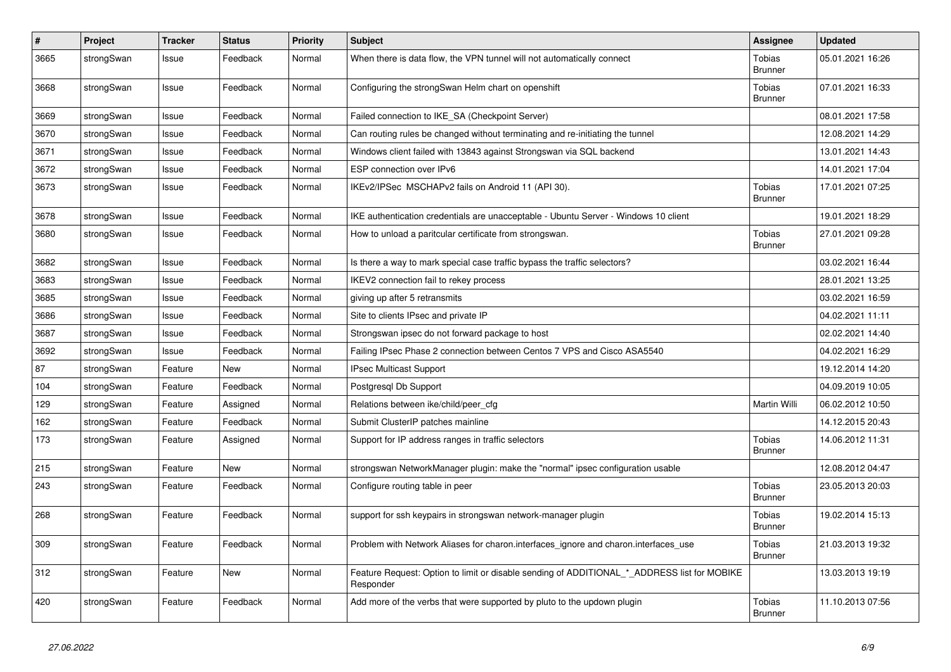| $\pmb{\#}$ | Project    | <b>Tracker</b> | <b>Status</b> | <b>Priority</b> | <b>Subject</b>                                                                                           | Assignee                 | <b>Updated</b>   |
|------------|------------|----------------|---------------|-----------------|----------------------------------------------------------------------------------------------------------|--------------------------|------------------|
| 3665       | strongSwan | Issue          | Feedback      | Normal          | When there is data flow, the VPN tunnel will not automatically connect                                   | Tobias<br><b>Brunner</b> | 05.01.2021 16:26 |
| 3668       | strongSwan | Issue          | Feedback      | Normal          | Configuring the strongSwan Helm chart on openshift                                                       | Tobias<br><b>Brunner</b> | 07.01.2021 16:33 |
| 3669       | strongSwan | Issue          | Feedback      | Normal          | Failed connection to IKE_SA (Checkpoint Server)                                                          |                          | 08.01.2021 17:58 |
| 3670       | strongSwan | Issue          | Feedback      | Normal          | Can routing rules be changed without terminating and re-initiating the tunnel                            |                          | 12.08.2021 14:29 |
| 3671       | strongSwan | Issue          | Feedback      | Normal          | Windows client failed with 13843 against Strongswan via SQL backend                                      |                          | 13.01.2021 14:43 |
| 3672       | strongSwan | Issue          | Feedback      | Normal          | ESP connection over IPv6                                                                                 |                          | 14.01.2021 17:04 |
| 3673       | strongSwan | Issue          | Feedback      | Normal          | IKEv2/IPSec MSCHAPv2 fails on Android 11 (API 30).                                                       | Tobias<br><b>Brunner</b> | 17.01.2021 07:25 |
| 3678       | strongSwan | Issue          | Feedback      | Normal          | IKE authentication credentials are unacceptable - Ubuntu Server - Windows 10 client                      |                          | 19.01.2021 18:29 |
| 3680       | strongSwan | Issue          | Feedback      | Normal          | How to unload a paritcular certificate from strongswan.                                                  | Tobias<br><b>Brunner</b> | 27.01.2021 09:28 |
| 3682       | strongSwan | Issue          | Feedback      | Normal          | Is there a way to mark special case traffic bypass the traffic selectors?                                |                          | 03.02.2021 16:44 |
| 3683       | strongSwan | Issue          | Feedback      | Normal          | IKEV2 connection fail to rekey process                                                                   |                          | 28.01.2021 13:25 |
| 3685       | strongSwan | Issue          | Feedback      | Normal          | giving up after 5 retransmits                                                                            |                          | 03.02.2021 16:59 |
| 3686       | strongSwan | Issue          | Feedback      | Normal          | Site to clients IPsec and private IP                                                                     |                          | 04.02.2021 11:11 |
| 3687       | strongSwan | Issue          | Feedback      | Normal          | Strongswan ipsec do not forward package to host                                                          |                          | 02.02.2021 14:40 |
| 3692       | strongSwan | Issue          | Feedback      | Normal          | Failing IPsec Phase 2 connection between Centos 7 VPS and Cisco ASA5540                                  |                          | 04.02.2021 16:29 |
| 87         | strongSwan | Feature        | New           | Normal          | <b>IPsec Multicast Support</b>                                                                           |                          | 19.12.2014 14:20 |
| 104        | strongSwan | Feature        | Feedback      | Normal          | Postgresgl Db Support                                                                                    |                          | 04.09.2019 10:05 |
| 129        | strongSwan | Feature        | Assigned      | Normal          | Relations between ike/child/peer cfg                                                                     | <b>Martin Willi</b>      | 06.02.2012 10:50 |
| 162        | strongSwan | Feature        | Feedback      | Normal          | Submit ClusterIP patches mainline                                                                        |                          | 14.12.2015 20:43 |
| 173        | strongSwan | Feature        | Assigned      | Normal          | Support for IP address ranges in traffic selectors                                                       | Tobias<br><b>Brunner</b> | 14.06.2012 11:31 |
| 215        | strongSwan | Feature        | <b>New</b>    | Normal          | strongswan NetworkManager plugin: make the "normal" ipsec configuration usable                           |                          | 12.08.2012 04:47 |
| 243        | strongSwan | Feature        | Feedback      | Normal          | Configure routing table in peer                                                                          | Tobias<br><b>Brunner</b> | 23.05.2013 20:03 |
| 268        | strongSwan | Feature        | Feedback      | Normal          | support for ssh keypairs in strongswan network-manager plugin                                            | Tobias<br><b>Brunner</b> | 19.02.2014 15:13 |
| 309        | strongSwan | Feature        | Feedback      | Normal          | Problem with Network Aliases for charon.interfaces_ignore and charon.interfaces_use                      | Tobias<br><b>Brunner</b> | 21.03.2013 19:32 |
| 312        | strongSwan | Feature        | New           | Normal          | Feature Request: Option to limit or disable sending of ADDITIONAL_*_ADDRESS list for MOBIKE<br>Responder |                          | 13.03.2013 19:19 |
| 420        | strongSwan | Feature        | Feedback      | Normal          | Add more of the verbs that were supported by pluto to the updown plugin                                  | Tobias<br><b>Brunner</b> | 11.10.2013 07:56 |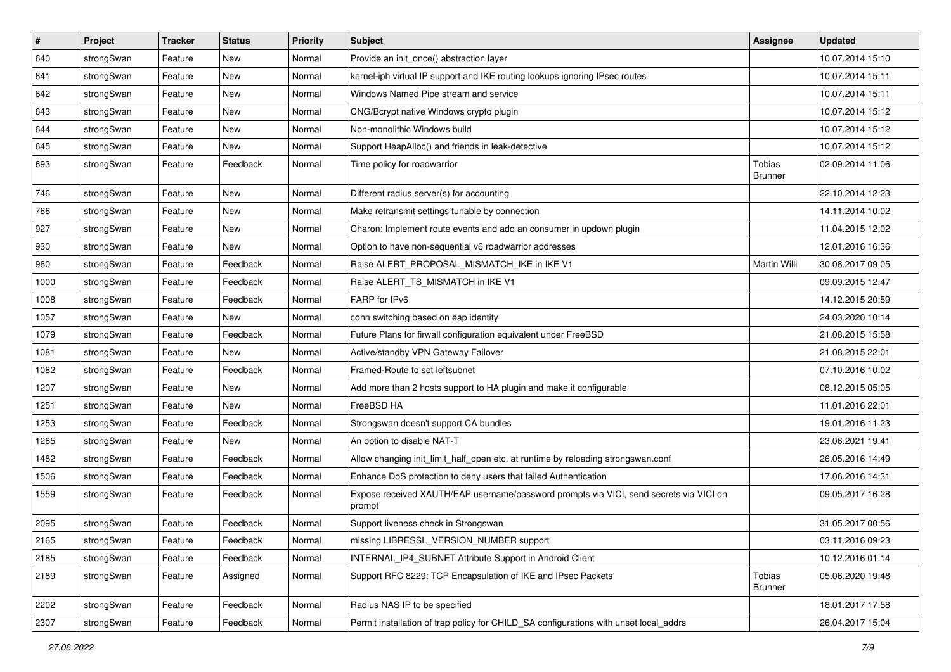| $\vert$ # | Project    | <b>Tracker</b> | <b>Status</b> | <b>Priority</b> | <b>Subject</b>                                                                                   | <b>Assignee</b>          | <b>Updated</b>   |
|-----------|------------|----------------|---------------|-----------------|--------------------------------------------------------------------------------------------------|--------------------------|------------------|
| 640       | strongSwan | Feature        | New           | Normal          | Provide an init_once() abstraction layer                                                         |                          | 10.07.2014 15:10 |
| 641       | strongSwan | Feature        | New           | Normal          | kernel-iph virtual IP support and IKE routing lookups ignoring IPsec routes                      |                          | 10.07.2014 15:11 |
| 642       | strongSwan | Feature        | <b>New</b>    | Normal          | Windows Named Pipe stream and service                                                            |                          | 10.07.2014 15:11 |
| 643       | strongSwan | Feature        | New           | Normal          | CNG/Bcrypt native Windows crypto plugin                                                          |                          | 10.07.2014 15:12 |
| 644       | strongSwan | Feature        | New           | Normal          | Non-monolithic Windows build                                                                     |                          | 10.07.2014 15:12 |
| 645       | strongSwan | Feature        | New           | Normal          | Support HeapAlloc() and friends in leak-detective                                                |                          | 10.07.2014 15:12 |
| 693       | strongSwan | Feature        | Feedback      | Normal          | Time policy for roadwarrior                                                                      | Tobias<br>Brunner        | 02.09.2014 11:06 |
| 746       | strongSwan | Feature        | New           | Normal          | Different radius server(s) for accounting                                                        |                          | 22.10.2014 12:23 |
| 766       | strongSwan | Feature        | <b>New</b>    | Normal          | Make retransmit settings tunable by connection                                                   |                          | 14.11.2014 10:02 |
| 927       | strongSwan | Feature        | <b>New</b>    | Normal          | Charon: Implement route events and add an consumer in updown plugin                              |                          | 11.04.2015 12:02 |
| 930       | strongSwan | Feature        | New           | Normal          | Option to have non-sequential v6 roadwarrior addresses                                           |                          | 12.01.2016 16:36 |
| 960       | strongSwan | Feature        | Feedback      | Normal          | Raise ALERT_PROPOSAL_MISMATCH_IKE in IKE V1                                                      | Martin Willi             | 30.08.2017 09:05 |
| 1000      | strongSwan | Feature        | Feedback      | Normal          | Raise ALERT_TS_MISMATCH in IKE V1                                                                |                          | 09.09.2015 12:47 |
| 1008      | strongSwan | Feature        | Feedback      | Normal          | FARP for IPv6                                                                                    |                          | 14.12.2015 20:59 |
| 1057      | strongSwan | Feature        | New           | Normal          | conn switching based on eap identity                                                             |                          | 24.03.2020 10:14 |
| 1079      | strongSwan | Feature        | Feedback      | Normal          | Future Plans for firwall configuration equivalent under FreeBSD                                  |                          | 21.08.2015 15:58 |
| 1081      | strongSwan | Feature        | New           | Normal          | Active/standby VPN Gateway Failover                                                              |                          | 21.08.2015 22:01 |
| 1082      | strongSwan | Feature        | Feedback      | Normal          | Framed-Route to set leftsubnet                                                                   |                          | 07.10.2016 10:02 |
| 1207      | strongSwan | Feature        | New           | Normal          | Add more than 2 hosts support to HA plugin and make it configurable                              |                          | 08.12.2015 05:05 |
| 1251      | strongSwan | Feature        | New           | Normal          | FreeBSD HA                                                                                       |                          | 11.01.2016 22:01 |
| 1253      | strongSwan | Feature        | Feedback      | Normal          | Strongswan doesn't support CA bundles                                                            |                          | 19.01.2016 11:23 |
| 1265      | strongSwan | Feature        | New           | Normal          | An option to disable NAT-T                                                                       |                          | 23.06.2021 19:41 |
| 1482      | strongSwan | Feature        | Feedback      | Normal          | Allow changing init_limit_half_open etc. at runtime by reloading strongswan.conf                 |                          | 26.05.2016 14:49 |
| 1506      | strongSwan | Feature        | Feedback      | Normal          | Enhance DoS protection to deny users that failed Authentication                                  |                          | 17.06.2016 14:31 |
| 1559      | strongSwan | Feature        | Feedback      | Normal          | Expose received XAUTH/EAP username/password prompts via VICI, send secrets via VICI on<br>prompt |                          | 09.05.2017 16:28 |
| 2095      | strongSwan | Feature        | Feedback      | Normal          | Support liveness check in Strongswan                                                             |                          | 31.05.2017 00:56 |
| 2165      | strongSwan | Feature        | Feedback      | Normal          | missing LIBRESSL_VERSION_NUMBER support                                                          |                          | 03.11.2016 09:23 |
| 2185      | strongSwan | Feature        | Feedback      | Normal          | INTERNAL_IP4_SUBNET Attribute Support in Android Client                                          |                          | 10.12.2016 01:14 |
| 2189      | strongSwan | Feature        | Assigned      | Normal          | Support RFC 8229: TCP Encapsulation of IKE and IPsec Packets                                     | Tobias<br><b>Brunner</b> | 05.06.2020 19:48 |
| 2202      | strongSwan | Feature        | Feedback      | Normal          | Radius NAS IP to be specified                                                                    |                          | 18.01.2017 17:58 |
| 2307      | strongSwan | Feature        | Feedback      | Normal          | Permit installation of trap policy for CHILD_SA configurations with unset local_addrs            |                          | 26.04.2017 15:04 |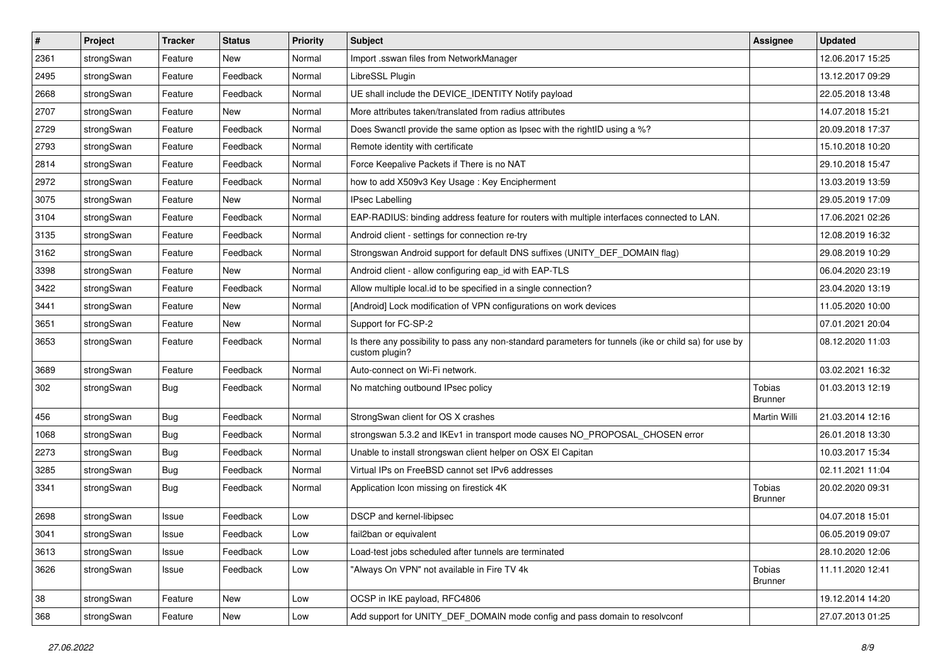| $\sharp$ | Project    | <b>Tracker</b> | <b>Status</b> | <b>Priority</b> | <b>Subject</b>                                                                                                          | <b>Assignee</b>          | <b>Updated</b>   |
|----------|------------|----------------|---------------|-----------------|-------------------------------------------------------------------------------------------------------------------------|--------------------------|------------------|
| 2361     | strongSwan | Feature        | New           | Normal          | Import .sswan files from NetworkManager                                                                                 |                          | 12.06.2017 15:25 |
| 2495     | strongSwan | Feature        | Feedback      | Normal          | LibreSSL Plugin                                                                                                         |                          | 13.12.2017 09:29 |
| 2668     | strongSwan | Feature        | Feedback      | Normal          | UE shall include the DEVICE IDENTITY Notify payload                                                                     |                          | 22.05.2018 13:48 |
| 2707     | strongSwan | Feature        | New           | Normal          | More attributes taken/translated from radius attributes                                                                 |                          | 14.07.2018 15:21 |
| 2729     | strongSwan | Feature        | Feedback      | Normal          | Does Swanctl provide the same option as Ipsec with the rightID using a %?                                               |                          | 20.09.2018 17:37 |
| 2793     | strongSwan | Feature        | Feedback      | Normal          | Remote identity with certificate                                                                                        |                          | 15.10.2018 10:20 |
| 2814     | strongSwan | Feature        | Feedback      | Normal          | Force Keepalive Packets if There is no NAT                                                                              |                          | 29.10.2018 15:47 |
| 2972     | strongSwan | Feature        | Feedback      | Normal          | how to add X509v3 Key Usage: Key Encipherment                                                                           |                          | 13.03.2019 13:59 |
| 3075     | strongSwan | Feature        | New           | Normal          | <b>IPsec Labelling</b>                                                                                                  |                          | 29.05.2019 17:09 |
| 3104     | strongSwan | Feature        | Feedback      | Normal          | EAP-RADIUS: binding address feature for routers with multiple interfaces connected to LAN.                              |                          | 17.06.2021 02:26 |
| 3135     | strongSwan | Feature        | Feedback      | Normal          | Android client - settings for connection re-try                                                                         |                          | 12.08.2019 16:32 |
| 3162     | strongSwan | Feature        | Feedback      | Normal          | Strongswan Android support for default DNS suffixes (UNITY_DEF_DOMAIN flag)                                             |                          | 29.08.2019 10:29 |
| 3398     | strongSwan | Feature        | New           | Normal          | Android client - allow configuring eap_id with EAP-TLS                                                                  |                          | 06.04.2020 23:19 |
| 3422     | strongSwan | Feature        | Feedback      | Normal          | Allow multiple local.id to be specified in a single connection?                                                         |                          | 23.04.2020 13:19 |
| 3441     | strongSwan | Feature        | <b>New</b>    | Normal          | [Android] Lock modification of VPN configurations on work devices                                                       |                          | 11.05.2020 10:00 |
| 3651     | strongSwan | Feature        | <b>New</b>    | Normal          | Support for FC-SP-2                                                                                                     |                          | 07.01.2021 20:04 |
| 3653     | strongSwan | Feature        | Feedback      | Normal          | Is there any possibility to pass any non-standard parameters for tunnels (ike or child sa) for use by<br>custom plugin? |                          | 08.12.2020 11:03 |
| 3689     | strongSwan | Feature        | Feedback      | Normal          | Auto-connect on Wi-Fi network.                                                                                          |                          | 03.02.2021 16:32 |
| 302      | strongSwan | <b>Bug</b>     | Feedback      | Normal          | No matching outbound IPsec policy                                                                                       | Tobias<br><b>Brunner</b> | 01.03.2013 12:19 |
| 456      | strongSwan | <b>Bug</b>     | Feedback      | Normal          | StrongSwan client for OS X crashes                                                                                      | Martin Willi             | 21.03.2014 12:16 |
| 1068     | strongSwan | <b>Bug</b>     | Feedback      | Normal          | strongswan 5.3.2 and IKEv1 in transport mode causes NO_PROPOSAL_CHOSEN error                                            |                          | 26.01.2018 13:30 |
| 2273     | strongSwan | Bug            | Feedback      | Normal          | Unable to install strongswan client helper on OSX El Capitan                                                            |                          | 10.03.2017 15:34 |
| 3285     | strongSwan | Bug            | Feedback      | Normal          | Virtual IPs on FreeBSD cannot set IPv6 addresses                                                                        |                          | 02.11.2021 11:04 |
| 3341     | strongSwan | <b>Bug</b>     | Feedback      | Normal          | Application Icon missing on firestick 4K                                                                                | Tobias<br><b>Brunner</b> | 20.02.2020 09:31 |
| 2698     | strongSwan | Issue          | Feedback      | Low             | DSCP and kernel-libipsec                                                                                                |                          | 04.07.2018 15:01 |
| 3041     | strongSwan | Issue          | Feedback      | Low             | fail2ban or equivalent                                                                                                  |                          | 06.05.2019 09:07 |
| 3613     | strongSwan | Issue          | Feedback      | Low             | Load-test jobs scheduled after tunnels are terminated                                                                   |                          | 28.10.2020 12:06 |
| 3626     | strongSwan | Issue          | Feedback      | Low             | "Always On VPN" not available in Fire TV 4k                                                                             | Tobias<br><b>Brunner</b> | 11.11.2020 12:41 |
| 38       | strongSwan | Feature        | New           | Low             | OCSP in IKE payload, RFC4806                                                                                            |                          | 19.12.2014 14:20 |
| 368      | strongSwan | Feature        | New           | Low             | Add support for UNITY_DEF_DOMAIN mode config and pass domain to resolveonf                                              |                          | 27.07.2013 01:25 |